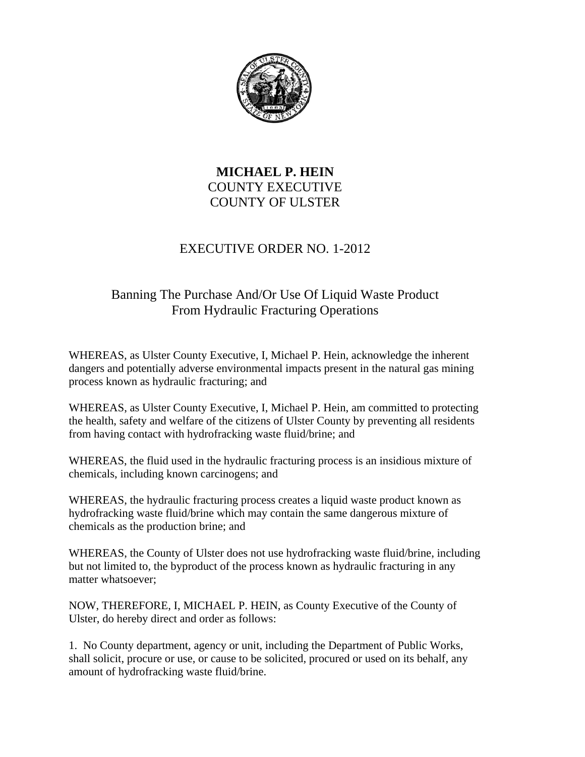

## **MICHAEL P. HEIN**  COUNTY EXECUTIVE COUNTY OF ULSTER

## EXECUTIVE ORDER NO. 1-2012

## Banning The Purchase And/Or Use Of Liquid Waste Product From Hydraulic Fracturing Operations

WHEREAS, as Ulster County Executive, I, Michael P. Hein, acknowledge the inherent dangers and potentially adverse environmental impacts present in the natural gas mining process known as hydraulic fracturing; and

WHEREAS, as Ulster County Executive, I, Michael P. Hein, am committed to protecting the health, safety and welfare of the citizens of Ulster County by preventing all residents from having contact with hydrofracking waste fluid/brine; and

WHEREAS, the fluid used in the hydraulic fracturing process is an insidious mixture of chemicals, including known carcinogens; and

WHEREAS, the hydraulic fracturing process creates a liquid waste product known as hydrofracking waste fluid/brine which may contain the same dangerous mixture of chemicals as the production brine; and

WHEREAS, the County of Ulster does not use hydrofracking waste fluid/brine, including but not limited to, the byproduct of the process known as hydraulic fracturing in any matter whatsoever;

NOW, THEREFORE, I, MICHAEL P. HEIN, as County Executive of the County of Ulster, do hereby direct and order as follows:

1. No County department, agency or unit, including the Department of Public Works, shall solicit, procure or use, or cause to be solicited, procured or used on its behalf, any amount of hydrofracking waste fluid/brine.